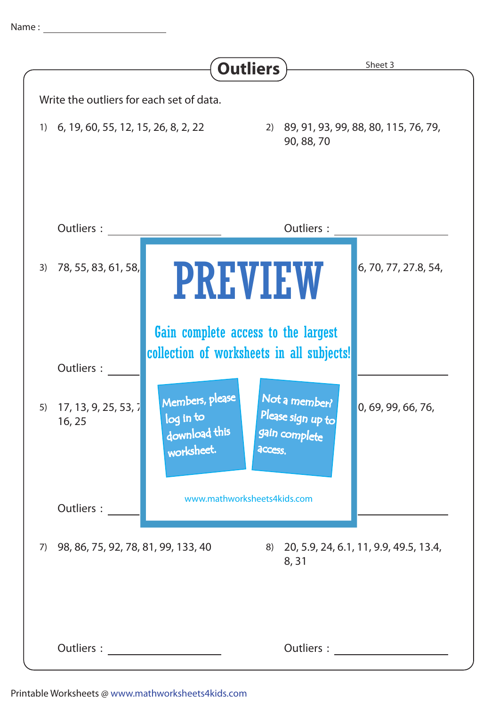